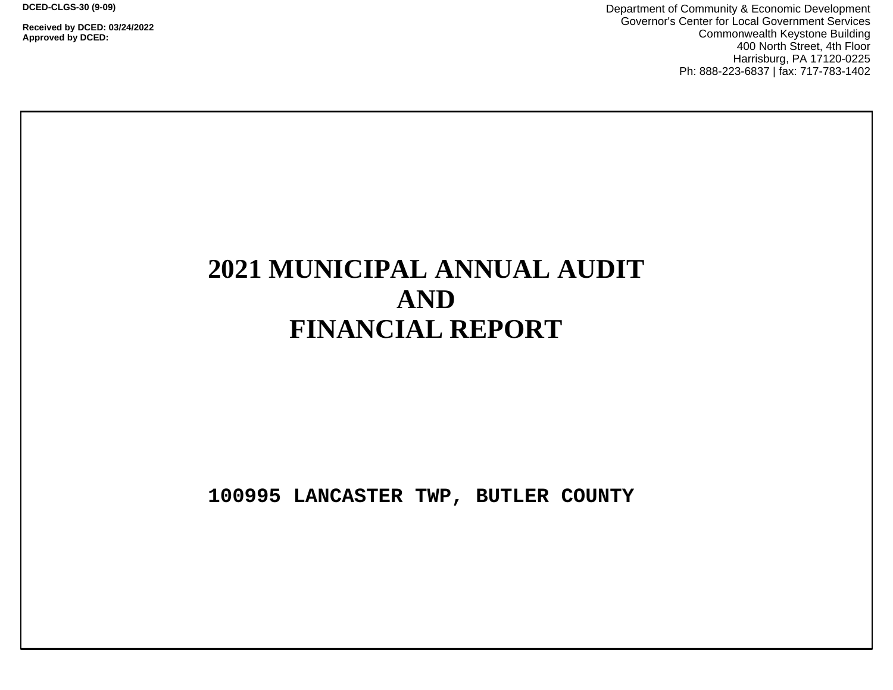**DCED-CLGS-30 (9-09)**

**Received by DCED: 03/24/2022 Approved by DCED:** 

Department of Community & Economic Development Governor's Center for Local Government Services Commonwealth Keystone Building 400 North Street, 4th Floor Harrisburg, PA 17120-0225 Ph: 888-223-6837 | fax: 717-783-1402

# **2021 MUNICIPAL ANNUAL AUDIT AND FINANCIAL REPORT**

**100995 LANCASTER TWP, BUTLER COUNTY**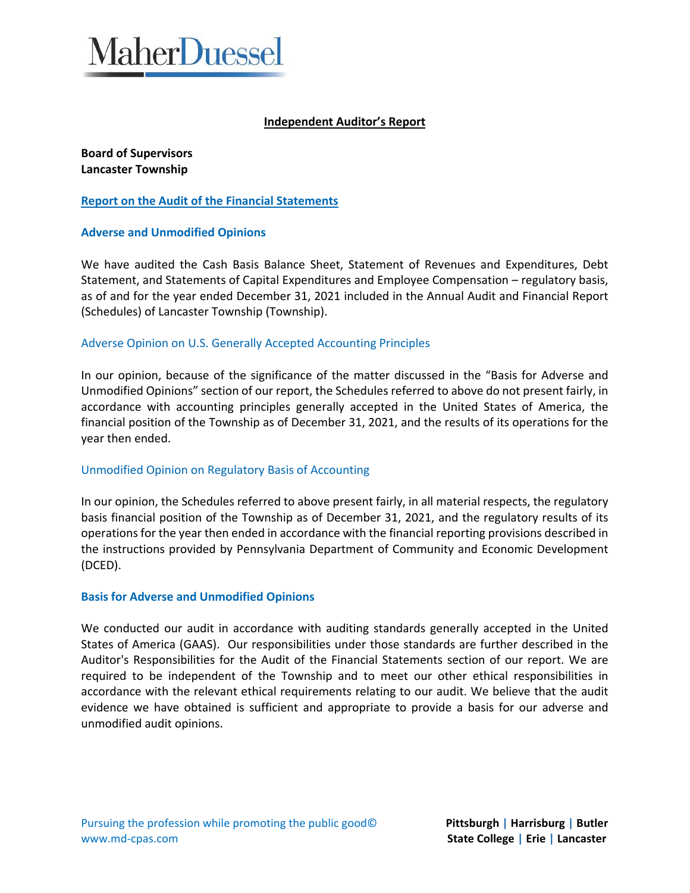

# **Independent Auditor's Report**

**Board of Supervisors Lancaster Township** 

#### **Report on the Audit of the Financial Statements**

# **Adverse and Unmodified Opinions**

We have audited the Cash Basis Balance Sheet, Statement of Revenues and Expenditures, Debt Statement, and Statements of Capital Expenditures and Employee Compensation – regulatory basis, as of and for the year ended December 31, 2021 included in the Annual Audit and Financial Report (Schedules) of Lancaster Township (Township).

#### Adverse Opinion on U.S. Generally Accepted Accounting Principles

In our opinion, because of the significance of the matter discussed in the "Basis for Adverse and Unmodified Opinions" section of our report, the Schedules referred to above do not present fairly, in accordance with accounting principles generally accepted in the United States of America, the financial position of the Township as of December 31, 2021, and the results of its operations for the year then ended.

#### Unmodified Opinion on Regulatory Basis of Accounting

In our opinion, the Schedules referred to above present fairly, in all material respects, the regulatory basis financial position of the Township as of December 31, 2021, and the regulatory results of its operations for the year then ended in accordance with the financial reporting provisions described in the instructions provided by Pennsylvania Department of Community and Economic Development (DCED).

#### **Basis for Adverse and Unmodified Opinions**

We conducted our audit in accordance with auditing standards generally accepted in the United States of America (GAAS). Our responsibilities under those standards are further described in the Auditor's Responsibilities for the Audit of the Financial Statements section of our report. We are required to be independent of the Township and to meet our other ethical responsibilities in accordance with the relevant ethical requirements relating to our audit. We believe that the audit evidence we have obtained is sufficient and appropriate to provide a basis for our adverse and unmodified audit opinions.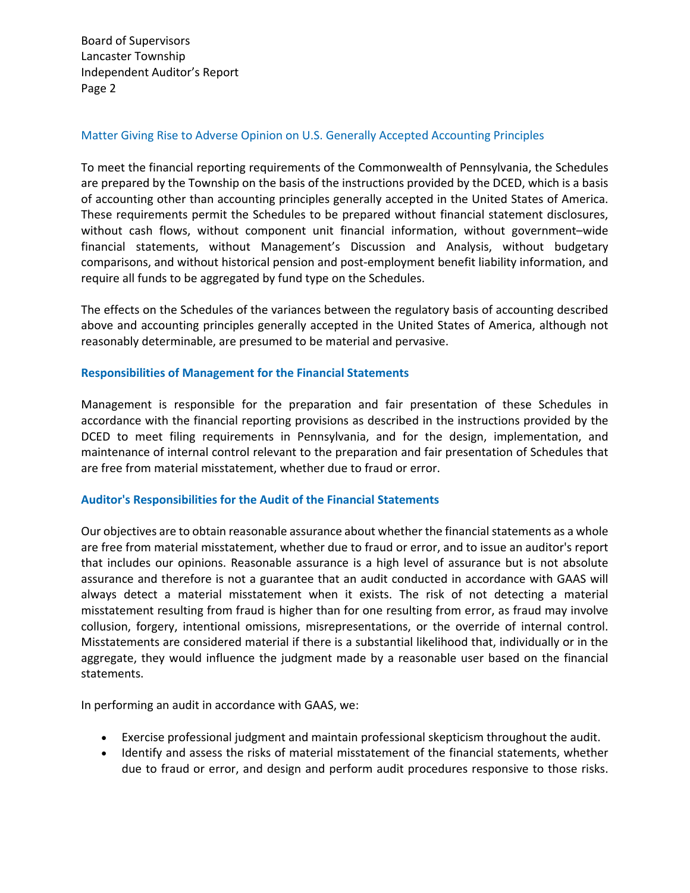Board of Supervisors Lancaster Township Independent Auditor's Report Page 2

#### Matter Giving Rise to Adverse Opinion on U.S. Generally Accepted Accounting Principles

To meet the financial reporting requirements of the Commonwealth of Pennsylvania, the Schedules are prepared by the Township on the basis of the instructions provided by the DCED, which is a basis of accounting other than accounting principles generally accepted in the United States of America. These requirements permit the Schedules to be prepared without financial statement disclosures, without cash flows, without component unit financial information, without government–wide financial statements, without Management's Discussion and Analysis, without budgetary comparisons, and without historical pension and post-employment benefit liability information, and require all funds to be aggregated by fund type on the Schedules.

The effects on the Schedules of the variances between the regulatory basis of accounting described above and accounting principles generally accepted in the United States of America, although not reasonably determinable, are presumed to be material and pervasive.

# **Responsibilities of Management for the Financial Statements**

Management is responsible for the preparation and fair presentation of these Schedules in accordance with the financial reporting provisions as described in the instructions provided by the DCED to meet filing requirements in Pennsylvania, and for the design, implementation, and maintenance of internal control relevant to the preparation and fair presentation of Schedules that are free from material misstatement, whether due to fraud or error.

#### **Auditor's Responsibilities for the Audit of the Financial Statements**

Our objectives are to obtain reasonable assurance about whether the financial statements as a whole are free from material misstatement, whether due to fraud or error, and to issue an auditor's report that includes our opinions. Reasonable assurance is a high level of assurance but is not absolute assurance and therefore is not a guarantee that an audit conducted in accordance with GAAS will always detect a material misstatement when it exists. The risk of not detecting a material misstatement resulting from fraud is higher than for one resulting from error, as fraud may involve collusion, forgery, intentional omissions, misrepresentations, or the override of internal control. Misstatements are considered material if there is a substantial likelihood that, individually or in the aggregate, they would influence the judgment made by a reasonable user based on the financial statements.

In performing an audit in accordance with GAAS, we:

- Exercise professional judgment and maintain professional skepticism throughout the audit.
- Identify and assess the risks of material misstatement of the financial statements, whether due to fraud or error, and design and perform audit procedures responsive to those risks.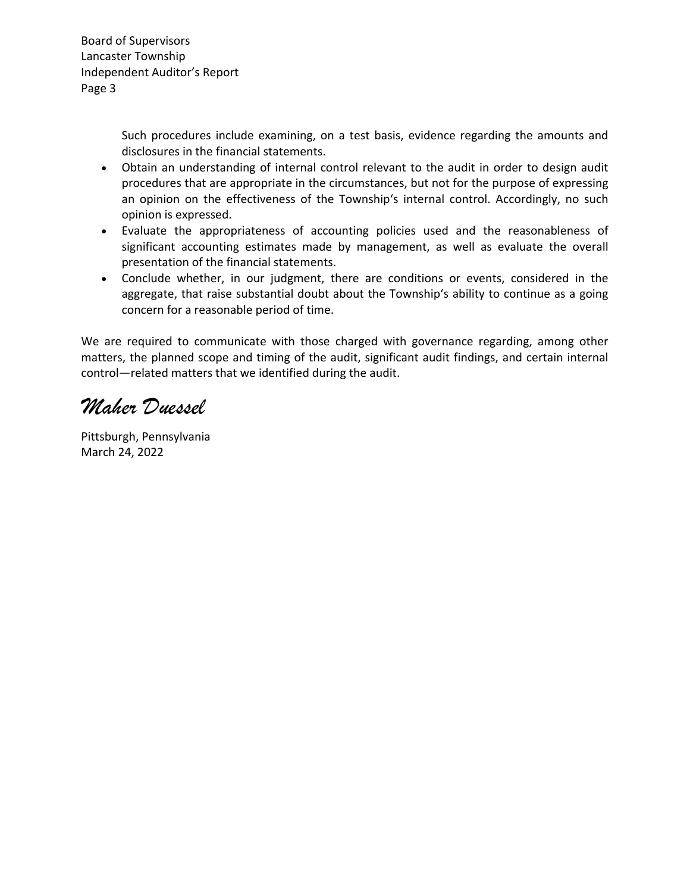Board of Supervisors Lancaster Township Independent Auditor's Report Page 3

> Such procedures include examining, on a test basis, evidence regarding the amounts and disclosures in the financial statements.

- Obtain an understanding of internal control relevant to the audit in order to design audit procedures that are appropriate in the circumstances, but not for the purpose of expressing an opinion on the effectiveness of the Township's internal control. Accordingly, no such opinion is expressed.
- Evaluate the appropriateness of accounting policies used and the reasonableness of significant accounting estimates made by management, as well as evaluate the overall presentation of the financial statements.
- Conclude whether, in our judgment, there are conditions or events, considered in the aggregate, that raise substantial doubt about the Township's ability to continue as a going concern for a reasonable period of time.

We are required to communicate with those charged with governance regarding, among other matters, the planned scope and timing of the audit, significant audit findings, and certain internal control—related matters that we identified during the audit.

*Maher Duessel*

Pittsburgh, Pennsylvania March 24, 2022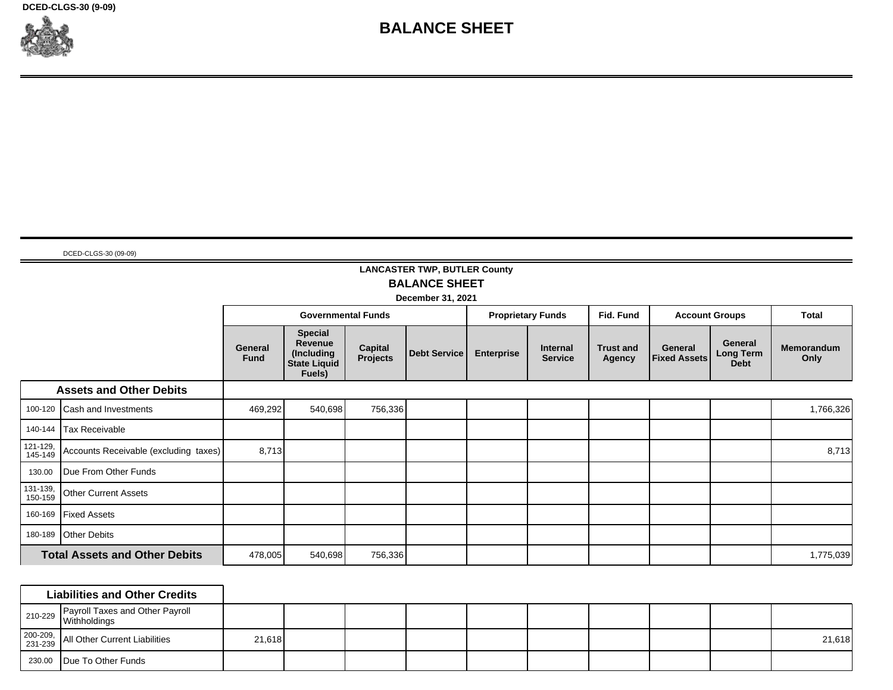**DCED-CLGS-30 (9-09)**



# **BALANCE SHEET**

#### DCED-CLGS-30 (09-09)

# **LANCASTER TWP, BUTLER County BALANCE SHEET**

**December 31, 2021** ┲

┯

┯

┯

|                     |                                       | <b>Governmental Funds</b> |                                                                          |                     |                     | <b>Proprietary Funds</b> | Fid. Fund                  |                            | <b>Account Groups</b>          | <b>Total</b>                               |                           |
|---------------------|---------------------------------------|---------------------------|--------------------------------------------------------------------------|---------------------|---------------------|--------------------------|----------------------------|----------------------------|--------------------------------|--------------------------------------------|---------------------------|
|                     |                                       | General<br><b>Fund</b>    | <b>Special</b><br>Revenue<br>(Including<br><b>State Liquid</b><br>Fuels) | Capital<br>Projects | <b>Debt Service</b> | <b>Enterprise</b>        | Internal<br><b>Service</b> | <b>Trust and</b><br>Agency | General<br><b>Fixed Assets</b> | General<br><b>Long Term</b><br><b>Debt</b> | <b>Memorandum</b><br>Only |
|                     | <b>Assets and Other Debits</b>        |                           |                                                                          |                     |                     |                          |                            |                            |                                |                                            |                           |
| 100-120             | Cash and Investments                  | 469,292                   | 540,698                                                                  | 756,336             |                     |                          |                            |                            |                                |                                            | 1,766,326                 |
| 140-144             | Tax Receivable                        |                           |                                                                          |                     |                     |                          |                            |                            |                                |                                            |                           |
| 121-129,<br>145-149 | Accounts Receivable (excluding taxes) | 8,713                     |                                                                          |                     |                     |                          |                            |                            |                                |                                            | 8,713                     |
| 130.00              | Due From Other Funds                  |                           |                                                                          |                     |                     |                          |                            |                            |                                |                                            |                           |
| 131-139,<br>150-159 | <b>Other Current Assets</b>           |                           |                                                                          |                     |                     |                          |                            |                            |                                |                                            |                           |
| 160-169             | <b>Fixed Assets</b>                   |                           |                                                                          |                     |                     |                          |                            |                            |                                |                                            |                           |
| 180-189             | <b>Other Debits</b>                   |                           |                                                                          |                     |                     |                          |                            |                            |                                |                                            |                           |
|                     | <b>Total Assets and Other Debits</b>  | 478,005                   | 540,698                                                                  | 756,336             |                     |                          |                            |                            |                                |                                            | 1,775,039                 |

| <b>Liabilities and Other Credits</b>                                                        |        |  |  |  |  |        |
|---------------------------------------------------------------------------------------------|--------|--|--|--|--|--------|
| Payroll Taxes and Other Payroll<br>$\frac{10}{229}$ $\int_{\text{Withholdings}}^{\text{F}}$ |        |  |  |  |  |        |
| 200-209, All Other Current Liabilities                                                      | 21,618 |  |  |  |  | 21,618 |
| 230.00 Due To Other Funds                                                                   |        |  |  |  |  |        |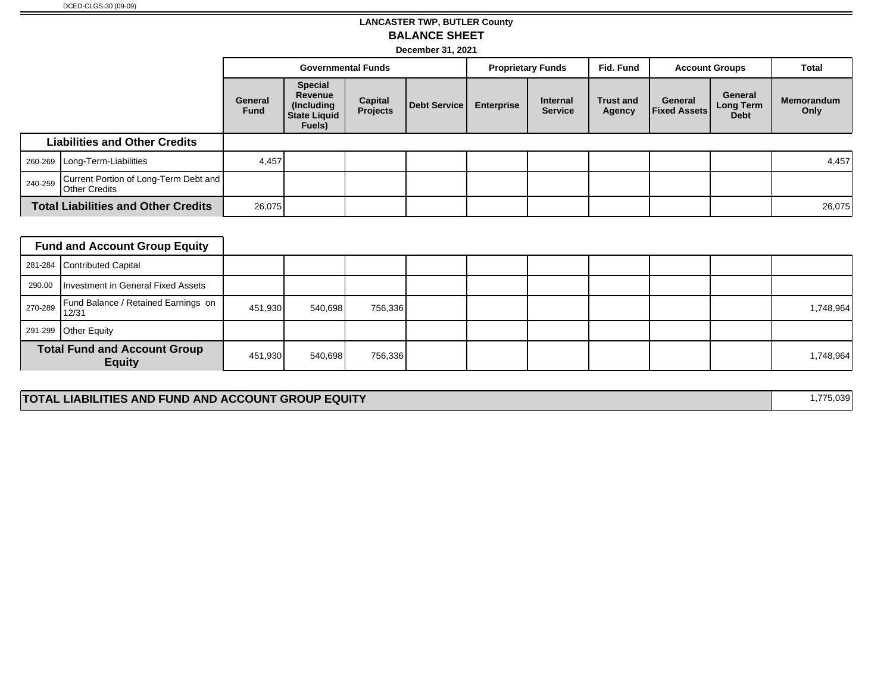# **LANCASTER TWP, BUTLER County BALANCE SHEET**

**December 31, 2021**

|         |                                                               |                        | <b>Governmental Funds</b>                                                |                            |              | <b>Proprietary Funds</b> |                            | Fid. Fund                  | <b>Account Groups</b>          |                                     | Total              |
|---------|---------------------------------------------------------------|------------------------|--------------------------------------------------------------------------|----------------------------|--------------|--------------------------|----------------------------|----------------------------|--------------------------------|-------------------------------------|--------------------|
|         |                                                               | General<br><b>Fund</b> | <b>Special</b><br>Revenue<br>(Including<br><b>State Liquid</b><br>Fuels) | <b>Capital</b><br>Projects | Debt Service | <b>Enterprise</b>        | Internal<br><b>Service</b> | <b>Trust and</b><br>Agency | General<br><b>Fixed Assets</b> | General<br>Long Term<br><b>Debt</b> | Memorandum<br>Only |
|         | <b>Liabilities and Other Credits</b>                          |                        |                                                                          |                            |              |                          |                            |                            |                                |                                     |                    |
|         | 260-269   Long-Term-Liabilities                               | 4,457                  |                                                                          |                            |              |                          |                            |                            |                                |                                     | 4,457              |
| 240-259 | Current Portion of Long-Term Debt and<br><b>Other Credits</b> |                        |                                                                          |                            |              |                          |                            |                            |                                |                                     |                    |
|         | <b>Total Liabilities and Other Credits</b>                    | 26,075                 |                                                                          |                            |              |                          |                            |                            |                                |                                     | 26,075             |

| <b>Fund and Account Group Equity</b>                 |         |         |         |  |  |  |           |
|------------------------------------------------------|---------|---------|---------|--|--|--|-----------|
| 281-284 Contributed Capital                          |         |         |         |  |  |  |           |
| 290.00   Investment in General Fixed Assets          |         |         |         |  |  |  |           |
| 270-289 Fund Balance / Retained Earnings on<br>12/31 | 451,930 | 540,698 | 756,336 |  |  |  | 1,748,964 |
| 291-299 Other Equity                                 |         |         |         |  |  |  |           |
| <b>Total Fund and Account Group</b><br><b>Equity</b> | 451,930 | 540,698 | 756,336 |  |  |  | 1,748,964 |

# **TOTAL LIABILITIES AND FUND AND ACCOUNT GROUP EQUITY 1,775,039**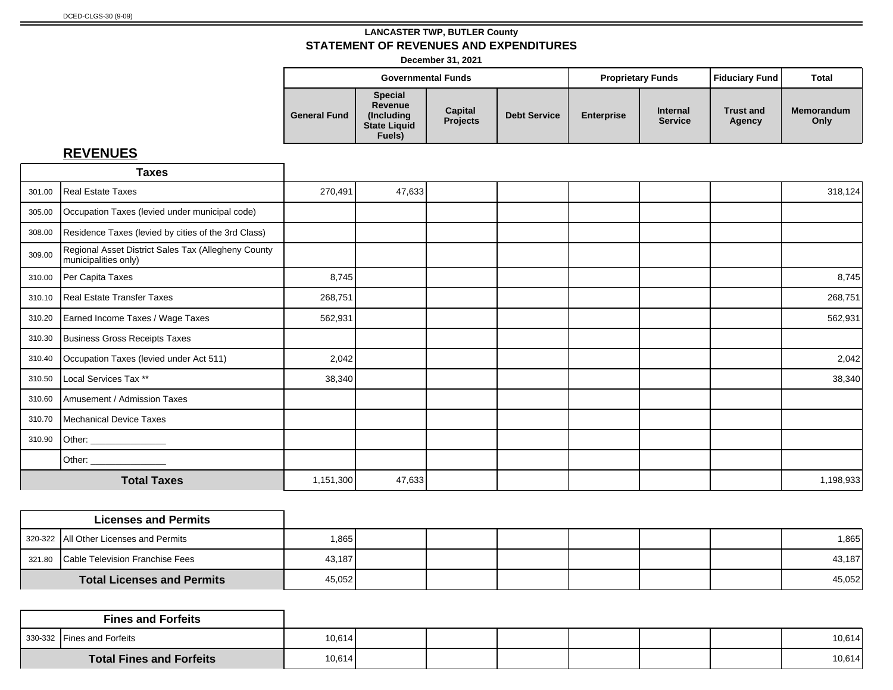**December 31, 2021**

|                     |                                                                           | <b>Governmental Funds</b>  |                     | <b>Proprietary Funds</b> |                                   | Fiduciary Fund             | Total                     |
|---------------------|---------------------------------------------------------------------------|----------------------------|---------------------|--------------------------|-----------------------------------|----------------------------|---------------------------|
| <b>General Fund</b> | <b>Special</b><br>Revenue<br>(Including)<br><b>State Liquid</b><br>Fuels) | Capital<br><b>Projects</b> | <b>Debt Service</b> | <b>Enterprise</b>        | <b>Internal</b><br><b>Service</b> | <b>Trust and</b><br>Agency | <b>Memorandum</b><br>Only |

# **REVENUES**

|        | <b>Taxes</b>                                                                |           |        |  |  |           |
|--------|-----------------------------------------------------------------------------|-----------|--------|--|--|-----------|
| 301.00 | Real Estate Taxes                                                           | 270,491   | 47,633 |  |  | 318,124   |
| 305.00 | Occupation Taxes (levied under municipal code)                              |           |        |  |  |           |
| 308.00 | Residence Taxes (levied by cities of the 3rd Class)                         |           |        |  |  |           |
| 309.00 | Regional Asset District Sales Tax (Allegheny County<br>municipalities only) |           |        |  |  |           |
| 310.00 | Per Capita Taxes                                                            | 8,745     |        |  |  | 8,745     |
| 310.10 | Real Estate Transfer Taxes                                                  | 268,751   |        |  |  | 268,751   |
| 310.20 | Earned Income Taxes / Wage Taxes                                            | 562,931   |        |  |  | 562,931   |
| 310.30 | Business Gross Receipts Taxes                                               |           |        |  |  |           |
| 310.40 | Occupation Taxes (levied under Act 511)                                     | 2,042     |        |  |  | 2,042     |
| 310.50 | Local Services Tax **                                                       | 38,340    |        |  |  | 38,340    |
| 310.60 | Amusement / Admission Taxes                                                 |           |        |  |  |           |
| 310.70 | Mechanical Device Taxes                                                     |           |        |  |  |           |
| 310.90 | Other: _______________                                                      |           |        |  |  |           |
|        |                                                                             |           |        |  |  |           |
|        | <b>Total Taxes</b>                                                          | 1,151,300 | 47,633 |  |  | 1,198,933 |

| <b>Licenses and Permits</b>            |        |  |  |  |        |
|----------------------------------------|--------|--|--|--|--------|
| 320-322 All Other Licenses and Permits | .865   |  |  |  | 1,865  |
| 321.80 Cable Television Franchise Fees | 43,187 |  |  |  | 43.187 |
| <b>Total Licenses and Permits</b>      | 45,052 |  |  |  | 45,052 |

|                                 | <b>Fines and Forfeits</b>  |        |  |  |  |        |
|---------------------------------|----------------------------|--------|--|--|--|--------|
|                                 | 330-332 Fines and Forfeits | 10,614 |  |  |  | 10,614 |
| <b>Total Fines and Forfeits</b> |                            | 10,614 |  |  |  | 10,614 |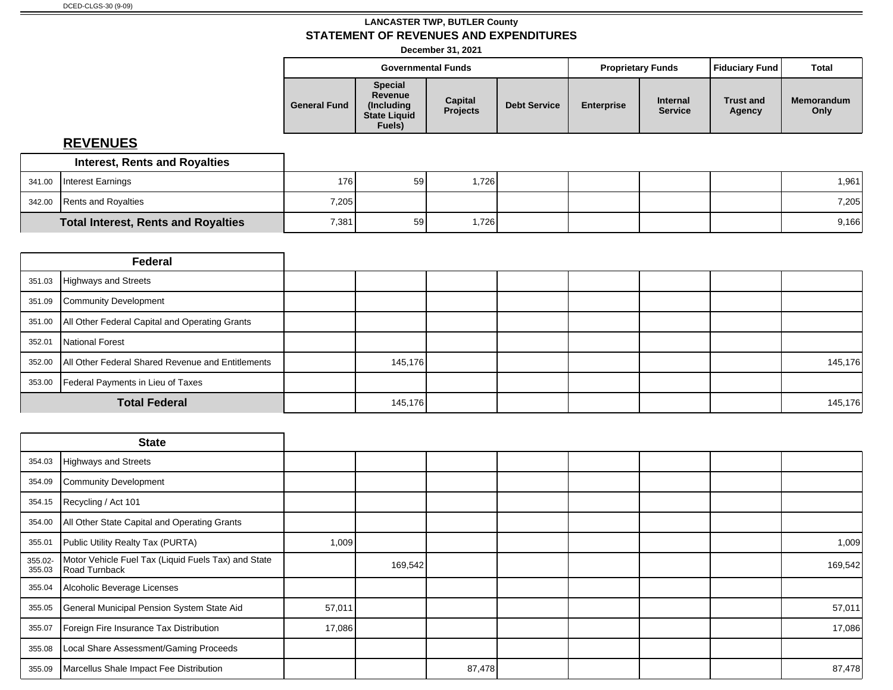# **LANCASTER TWP, BUTLER County STATEMENT OF REVENUES AND EXPENDITURES**

**December 31, 2021**

|        |                                      |                     | <b>Governmental Funds</b>                                                |                            |                     |                   | <b>Proprietary Funds</b>   | <b>Fiduciary Fund</b>      | Total              |
|--------|--------------------------------------|---------------------|--------------------------------------------------------------------------|----------------------------|---------------------|-------------------|----------------------------|----------------------------|--------------------|
|        |                                      | <b>General Fund</b> | <b>Special</b><br>Revenue<br>(Including<br><b>State Liquid</b><br>Fuels) | Capital<br><b>Projects</b> | <b>Debt Service</b> | <b>Enterprise</b> | Internal<br><b>Service</b> | <b>Trust and</b><br>Agency | Memorandum<br>Only |
|        | <b>REVENUES</b>                      |                     |                                                                          |                            |                     |                   |                            |                            |                    |
|        | <b>Interest, Rents and Royalties</b> |                     |                                                                          |                            |                     |                   |                            |                            |                    |
| 341.00 | Interest Earnings                    | 176                 | 59                                                                       | 1,726                      |                     |                   |                            |                            | 1,961              |
| 342.00 | <b>Rents and Royalties</b>           | 7,205               |                                                                          |                            |                     |                   |                            |                            | 7,205              |

|        | Federal                                                    |         |  |  |         |
|--------|------------------------------------------------------------|---------|--|--|---------|
|        | 351.03 Highways and Streets                                |         |  |  |         |
|        | 351.09 Community Development                               |         |  |  |         |
|        | 351.00 All Other Federal Capital and Operating Grants      |         |  |  |         |
| 352.01 | National Forest                                            |         |  |  |         |
|        | 352.00   All Other Federal Shared Revenue and Entitlements | 145,176 |  |  | 145,176 |
| 353.00 | Federal Payments in Lieu of Taxes                          |         |  |  |         |
|        | <b>Total Federal</b>                                       | 145,176 |  |  | 145,176 |

**Total Interest, Rents and Royalties** 1 7,381 59 1,726 1,726 1,728 9,166

|                   | <b>State</b>                                                         |        |         |        |  |  |         |
|-------------------|----------------------------------------------------------------------|--------|---------|--------|--|--|---------|
|                   | 354.03 Highways and Streets                                          |        |         |        |  |  |         |
| 354.09            | Community Development                                                |        |         |        |  |  |         |
| 354.15            | Recycling / Act 101                                                  |        |         |        |  |  |         |
| 354.00            | All Other State Capital and Operating Grants                         |        |         |        |  |  |         |
| 355.01            | Public Utility Realty Tax (PURTA)                                    | 1,009  |         |        |  |  | 1,009   |
| 355.02-<br>355.03 | Motor Vehicle Fuel Tax (Liquid Fuels Tax) and State<br>Road Turnback |        | 169,542 |        |  |  | 169,542 |
| 355.04            | Alcoholic Beverage Licenses                                          |        |         |        |  |  |         |
| 355.05            | General Municipal Pension System State Aid                           | 57,011 |         |        |  |  | 57,011  |
| 355.07            | Foreign Fire Insurance Tax Distribution                              | 17,086 |         |        |  |  | 17,086  |
| 355.08            | Local Share Assessment/Gaming Proceeds                               |        |         |        |  |  |         |
| 355.09            | Marcellus Shale Impact Fee Distribution                              |        |         | 87,478 |  |  | 87,478  |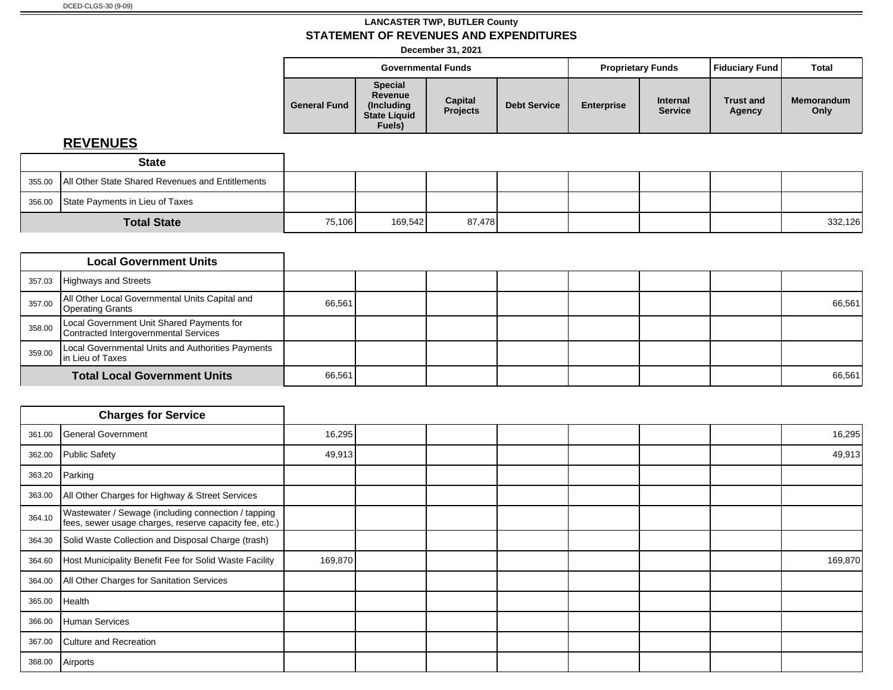**December 31, 2021**

|                     |                                                                           | <b>Governmental Funds</b>  |                     |                   | <b>Proprietary Funds</b>          | <b>Fiduciary Fund</b>      | <b>Total</b>              |
|---------------------|---------------------------------------------------------------------------|----------------------------|---------------------|-------------------|-----------------------------------|----------------------------|---------------------------|
| <b>General Fund</b> | <b>Special</b><br>Revenue<br>(Including)<br><b>State Liquid</b><br>Fuels) | Capital<br><b>Projects</b> | <b>Debt Service</b> | <b>Enterprise</b> | <b>Internal</b><br><b>Service</b> | <b>Trust and</b><br>Agency | <b>Memorandum</b><br>Only |

# **REVENUES**

|                    | <b>State</b>                                              |        |         |        |  |  |         |
|--------------------|-----------------------------------------------------------|--------|---------|--------|--|--|---------|
|                    | 355.00   All Other State Shared Revenues and Entitlements |        |         |        |  |  |         |
|                    | 356.00 State Payments in Lieu of Taxes                    |        |         |        |  |  |         |
| <b>Total State</b> |                                                           | 75,106 | 169,542 | 87,478 |  |  | 332,126 |

|        | <b>Local Government Units</b>                                                      |        |  |  |  |        |
|--------|------------------------------------------------------------------------------------|--------|--|--|--|--------|
| 357.03 | Highways and Streets                                                               |        |  |  |  |        |
| 357.00 | All Other Local Governmental Units Capital and<br>Operating Grants                 | 66,561 |  |  |  | 66,561 |
| 358.00 | Local Government Unit Shared Payments for<br>Contracted Intergovernmental Services |        |  |  |  |        |
| 359.00 | Local Governmental Units and Authorities Payments<br>In Lieu of Taxes              |        |  |  |  |        |
|        | <b>Total Local Government Units</b>                                                | 66,561 |  |  |  | 66,561 |

|        | <b>Charges for Service</b>                                                                                    |         |  |  |  |         |
|--------|---------------------------------------------------------------------------------------------------------------|---------|--|--|--|---------|
| 361.00 | General Government                                                                                            | 16,295  |  |  |  | 16,295  |
| 362.00 | Public Safety                                                                                                 | 49,913  |  |  |  | 49,913  |
| 363.20 | Parking                                                                                                       |         |  |  |  |         |
| 363.00 | All Other Charges for Highway & Street Services                                                               |         |  |  |  |         |
| 364.10 | Wastewater / Sewage (including connection / tapping<br>fees, sewer usage charges, reserve capacity fee, etc.) |         |  |  |  |         |
| 364.30 | Solid Waste Collection and Disposal Charge (trash)                                                            |         |  |  |  |         |
| 364.60 | Host Municipality Benefit Fee for Solid Waste Facility                                                        | 169,870 |  |  |  | 169,870 |
| 364.00 | All Other Charges for Sanitation Services                                                                     |         |  |  |  |         |
| 365.00 | Health                                                                                                        |         |  |  |  |         |
| 366.00 | Human Services                                                                                                |         |  |  |  |         |
| 367.00 | Culture and Recreation                                                                                        |         |  |  |  |         |
| 368.00 | Airports                                                                                                      |         |  |  |  |         |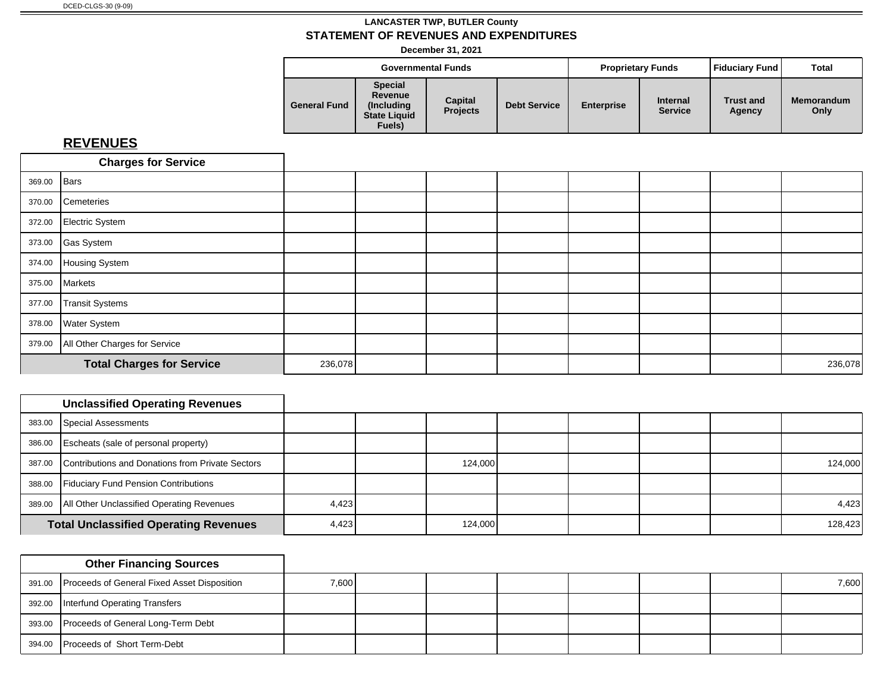**December 31, 2021**

|                     |                                                                           | <b>Governmental Funds</b>  |                     |                   | <b>Proprietary Funds</b>          | Fiduciary Fund             | Total                     |
|---------------------|---------------------------------------------------------------------------|----------------------------|---------------------|-------------------|-----------------------------------|----------------------------|---------------------------|
| <b>General Fund</b> | <b>Special</b><br>Revenue<br>(Including)<br><b>State Liquid</b><br>Fuels) | Capital<br><b>Projects</b> | <b>Debt Service</b> | <b>Enterprise</b> | <b>Internal</b><br><b>Service</b> | <b>Trust and</b><br>Agency | <b>Memorandum</b><br>Only |

# **REVENUES**

|             | <b>Charges for Service</b>           |         |  |  |  |         |
|-------------|--------------------------------------|---------|--|--|--|---------|
| 369.00 Bars |                                      |         |  |  |  |         |
|             | 370.00 Cemeteries                    |         |  |  |  |         |
|             | 372.00 Electric System               |         |  |  |  |         |
|             | 373.00 Gas System                    |         |  |  |  |         |
|             | 374.00 Housing System                |         |  |  |  |         |
|             | 375.00 Markets                       |         |  |  |  |         |
| 377.00      | Transit Systems                      |         |  |  |  |         |
|             | 378.00 Water System                  |         |  |  |  |         |
|             | 379.00 All Other Charges for Service |         |  |  |  |         |
|             | <b>Total Charges for Service</b>     | 236,078 |  |  |  | 236,078 |

| <b>Unclassified Operating Revenues</b>                  |       |         |  |  |         |
|---------------------------------------------------------|-------|---------|--|--|---------|
| 383.00 Special Assessments                              |       |         |  |  |         |
| 386.00 Escheats (sale of personal property)             |       |         |  |  |         |
| 387.00 Contributions and Donations from Private Sectors |       | 124,000 |  |  | 124,000 |
| 388.00 Fiduciary Fund Pension Contributions             |       |         |  |  |         |
| 389.00   All Other Unclassified Operating Revenues      | 4,423 |         |  |  | 4,423   |
| <b>Total Unclassified Operating Revenues</b>            | 4,423 | 124,000 |  |  | 128,423 |

| <b>Other Financing Sources</b>                     |       |  |  |  |       |
|----------------------------------------------------|-------|--|--|--|-------|
| 391.00 Proceeds of General Fixed Asset Disposition | 7,600 |  |  |  | 7,600 |
| 392.00 Interfund Operating Transfers               |       |  |  |  |       |
| 393.00 Proceeds of General Long-Term Debt          |       |  |  |  |       |
| 394.00 Proceeds of Short Term-Debt                 |       |  |  |  |       |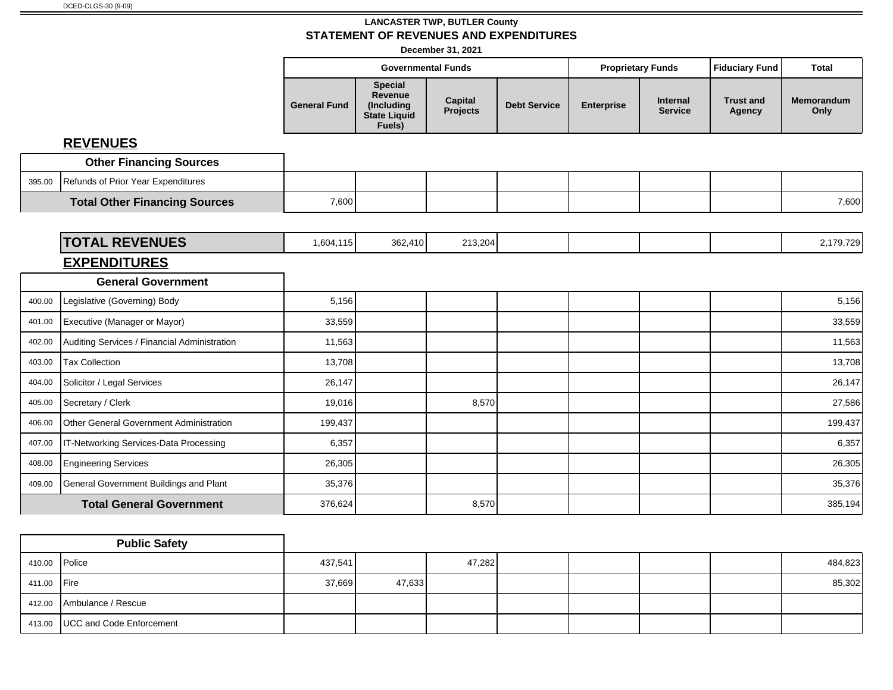**December 31, 2021**

|        |                                              |                     | <b>Governmental Funds</b>                                         |                            |                     |                   | <b>Proprietary Funds</b>          | <b>Fiduciary Fund</b>      | <b>Total</b>              |
|--------|----------------------------------------------|---------------------|-------------------------------------------------------------------|----------------------------|---------------------|-------------------|-----------------------------------|----------------------------|---------------------------|
|        |                                              | <b>General Fund</b> | <b>Special</b><br>Revenue<br>(Including<br>State Liquid<br>Fuels) | <b>Capital</b><br>Projects | <b>Debt Service</b> | <b>Enterprise</b> | <b>Internal</b><br><b>Service</b> | <b>Trust and</b><br>Agency | <b>Memorandum</b><br>Only |
|        | <b>REVENUES</b>                              |                     |                                                                   |                            |                     |                   |                                   |                            |                           |
|        | <b>Other Financing Sources</b>               |                     |                                                                   |                            |                     |                   |                                   |                            |                           |
| 395.00 | Refunds of Prior Year Expenditures           |                     |                                                                   |                            |                     |                   |                                   |                            |                           |
|        | <b>Total Other Financing Sources</b>         | 7,600               |                                                                   |                            |                     |                   |                                   |                            | 7,600                     |
|        |                                              |                     |                                                                   |                            |                     |                   |                                   |                            |                           |
|        | <b>TOTAL REVENUES</b>                        | 1,604,115           | 362,410                                                           | 213,204                    |                     |                   |                                   |                            | 2,179,729                 |
|        | <b>EXPENDITURES</b>                          |                     |                                                                   |                            |                     |                   |                                   |                            |                           |
|        | <b>General Government</b>                    |                     |                                                                   |                            |                     |                   |                                   |                            |                           |
| 400.00 | Legislative (Governing) Body                 | 5,156               |                                                                   |                            |                     |                   |                                   |                            | 5,156                     |
| 401.00 | Executive (Manager or Mayor)                 | 33,559              |                                                                   |                            |                     |                   |                                   |                            | 33,559                    |
| 402.00 | Auditing Services / Financial Administration | 11,563              |                                                                   |                            |                     |                   |                                   |                            | 11,563                    |
| 403.00 | <b>Tax Collection</b>                        | 13,708              |                                                                   |                            |                     |                   |                                   |                            | 13,708                    |
| 404.00 | Solicitor / Legal Services                   | 26,147              |                                                                   |                            |                     |                   |                                   |                            | 26,147                    |
| 405.00 | Secretary / Clerk                            | 19,016              |                                                                   | 8,570                      |                     |                   |                                   |                            | 27,586                    |
| 406.00 | Other General Government Administration      | 199,437             |                                                                   |                            |                     |                   |                                   |                            | 199,437                   |
| 407.00 | IT-Networking Services-Data Processing       | 6,357               |                                                                   |                            |                     |                   |                                   |                            | 6,357                     |
| 408.00 | <b>Engineering Services</b>                  | 26,305              |                                                                   |                            |                     |                   |                                   |                            | 26,305                    |
| 409.00 | General Government Buildings and Plant       | 35,376              |                                                                   |                            |                     |                   |                                   |                            | 35,376                    |
|        | <b>Total General Government</b>              | 376,624             |                                                                   | 8,570                      |                     |                   |                                   |                            | 385,194                   |

|               | <b>Public Safety</b>              |         |        |        |  |  |         |
|---------------|-----------------------------------|---------|--------|--------|--|--|---------|
| 410.00 Police |                                   | 437,541 |        | 47,282 |  |  | 484,823 |
| 411.00 Fire   |                                   | 37,669  | 47,633 |        |  |  | 85,302  |
|               | 412.00 Ambulance / Rescue         |         |        |        |  |  |         |
|               | 413.00   UCC and Code Enforcement |         |        |        |  |  |         |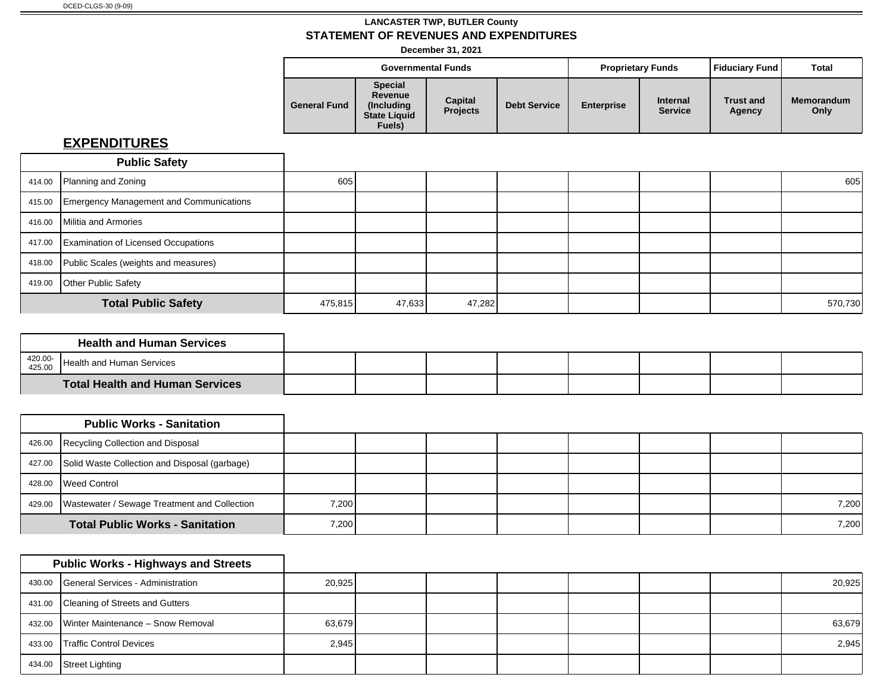**December 31, 2021**

| <b>Governmental Funds</b><br><b>Special</b><br>Revenue<br><b>Capital</b><br>(Includina)<br><b>Projects</b><br><b>State Liquid</b> |        |  |                     | <b>Proprietary Funds</b> |                                   | Fiduciary Fund             | <b>Total</b>              |
|-----------------------------------------------------------------------------------------------------------------------------------|--------|--|---------------------|--------------------------|-----------------------------------|----------------------------|---------------------------|
| <b>General Fund</b>                                                                                                               | Fuels) |  | <b>Debt Service</b> | <b>Enterprise</b>        | <b>Internal</b><br><b>Service</b> | <b>Trust and</b><br>Agency | <b>Memorandum</b><br>Only |

|        | <b>Public Safety</b>                           |         |        |        |  |  |         |
|--------|------------------------------------------------|---------|--------|--------|--|--|---------|
|        | 414.00 Planning and Zoning                     | 605     |        |        |  |  | 605     |
| 415.00 | <b>Emergency Management and Communications</b> |         |        |        |  |  |         |
| 416.00 | Militia and Armories                           |         |        |        |  |  |         |
|        | 417.00 Examination of Licensed Occupations     |         |        |        |  |  |         |
| 418.00 | Public Scales (weights and measures)           |         |        |        |  |  |         |
| 419.00 | <b>Other Public Safety</b>                     |         |        |        |  |  |         |
|        | <b>Total Public Safety</b>                     | 475,815 | 47,633 | 47,282 |  |  | 570,730 |

|                   | <b>Health and Human Services</b>       |  |  |  |  |
|-------------------|----------------------------------------|--|--|--|--|
| 420.00-<br>425.00 | . Health and Human Services            |  |  |  |  |
|                   | <b>Total Health and Human Services</b> |  |  |  |  |

|        | <b>Public Works - Sanitation</b>                      |       |  |  |  |       |
|--------|-------------------------------------------------------|-------|--|--|--|-------|
|        | 426.00 Recycling Collection and Disposal              |       |  |  |  |       |
|        | 427.00 Solid Waste Collection and Disposal (garbage)  |       |  |  |  |       |
| 428.00 | Weed Control                                          |       |  |  |  |       |
|        | 429.00   Wastewater / Sewage Treatment and Collection | 7,200 |  |  |  | 7,200 |
|        | <b>Total Public Works - Sanitation</b>                | 7,200 |  |  |  | 7,200 |

|        | <b>Public Works - Highways and Streets</b> |        |  |  |  |        |
|--------|--------------------------------------------|--------|--|--|--|--------|
|        | 430.00 General Services - Administration   | 20,925 |  |  |  | 20,925 |
|        | 431.00 Cleaning of Streets and Gutters     |        |  |  |  |        |
|        | 432.00   Winter Maintenance - Snow Removal | 63,679 |  |  |  | 63,679 |
| 433.00 | <b>Traffic Control Devices</b>             | 2,945  |  |  |  | 2,945  |
| 434.00 | Street Lighting                            |        |  |  |  |        |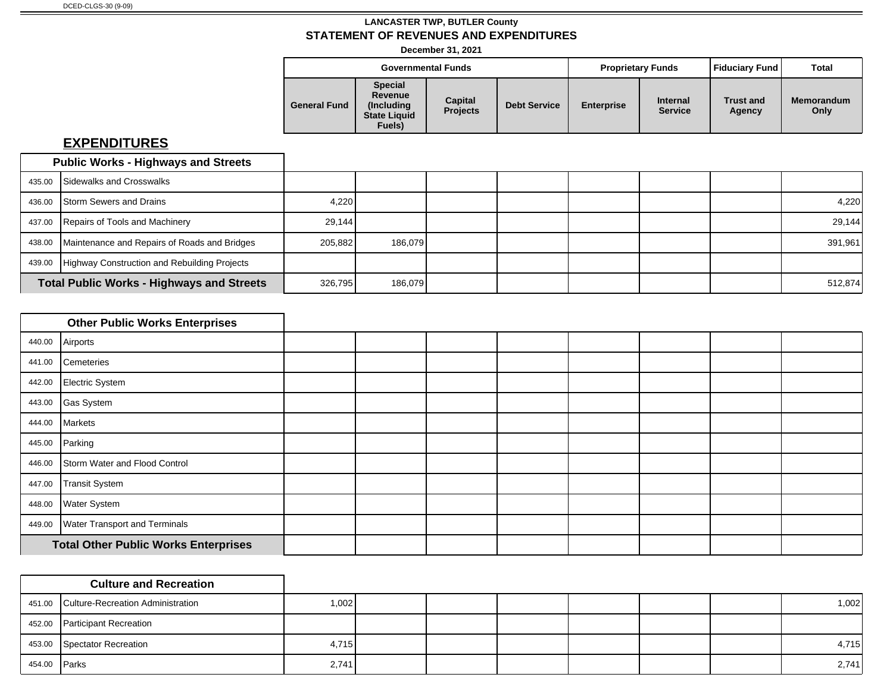**December 31, 2021**

|                     |                                                                           | <b>Governmental Funds</b>  |                     |                   | <b>Proprietary Funds</b>          | l Fiduciarv Fund l         | Total                     |
|---------------------|---------------------------------------------------------------------------|----------------------------|---------------------|-------------------|-----------------------------------|----------------------------|---------------------------|
| <b>General Fund</b> | <b>Special</b><br>Revenue<br>(Including)<br><b>State Liquid</b><br>Fuels) | Capital<br><b>Projects</b> | <b>Debt Service</b> | <b>Enterprise</b> | <b>Internal</b><br><b>Service</b> | <b>Trust and</b><br>Agency | <b>Memorandum</b><br>Only |

|        | <b>Public Works - Highways and Streets</b>          |         |         |  |  |         |
|--------|-----------------------------------------------------|---------|---------|--|--|---------|
|        | 435.00 Sidewalks and Crosswalks                     |         |         |  |  |         |
|        | 436.00 Storm Sewers and Drains                      | 4,220   |         |  |  | 4,220   |
|        | 437.00 Repairs of Tools and Machinery               | 29.144  |         |  |  | 29,144  |
| 438.00 | Maintenance and Repairs of Roads and Bridges        | 205,882 | 186.079 |  |  | 391,961 |
|        | 439.00 Highway Construction and Rebuilding Projects |         |         |  |  |         |
|        | <b>Total Public Works - Highways and Streets</b>    | 326,795 | 186,079 |  |  | 512,874 |

|        | <b>Other Public Works Enterprises</b>       |  |  |  |  |
|--------|---------------------------------------------|--|--|--|--|
| 440.00 | Airports                                    |  |  |  |  |
| 441.00 | Cemeteries                                  |  |  |  |  |
| 442.00 | Electric System                             |  |  |  |  |
|        | 443.00 Gas System                           |  |  |  |  |
|        | 444.00 Markets                              |  |  |  |  |
| 445.00 | Parking                                     |  |  |  |  |
| 446.00 | Storm Water and Flood Control               |  |  |  |  |
| 447.00 | Transit System                              |  |  |  |  |
| 448.00 | <b>Water System</b>                         |  |  |  |  |
| 449.00 | <b>Water Transport and Terminals</b>        |  |  |  |  |
|        | <b>Total Other Public Works Enterprises</b> |  |  |  |  |

|              | <b>Culture and Recreation</b>            |       |  |  |  |       |
|--------------|------------------------------------------|-------|--|--|--|-------|
|              | 451.00 Culture-Recreation Administration | 1,002 |  |  |  | 1,002 |
|              | 452.00 Participant Recreation            |       |  |  |  |       |
|              | 453.00 Spectator Recreation              | 4,715 |  |  |  | 4,715 |
| 454.00 Parks |                                          | 2,741 |  |  |  | 2,741 |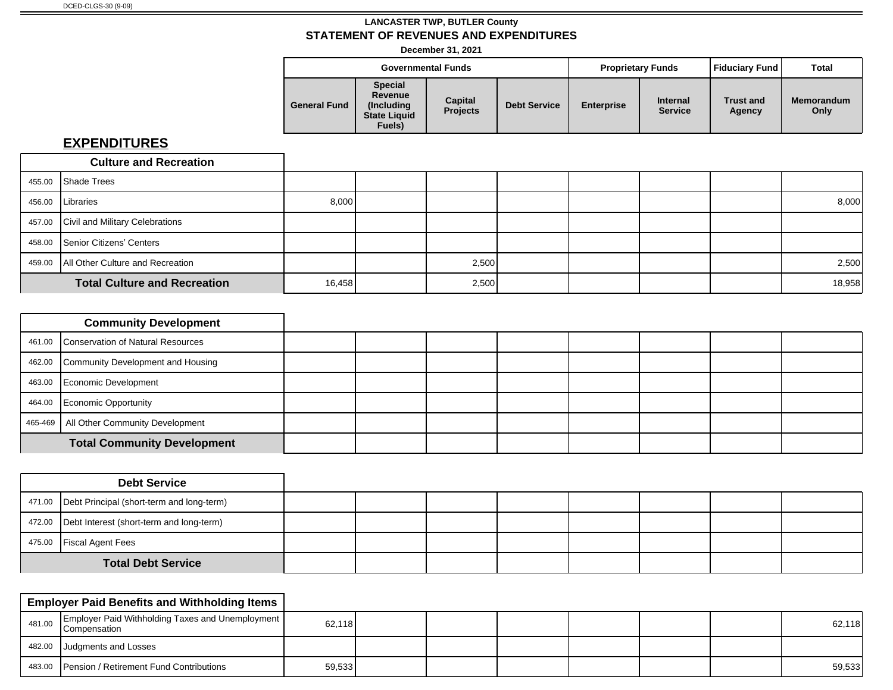**December 31, 2021**

|                     | <b>Governmental Funds</b><br><b>Special</b><br>Revenue<br>Capital<br>(Includina)<br><b>Projects</b><br><b>State Liquid</b> |  |                     | <b>Proprietary Funds</b> |                                   | Fiduciary Fund             | <b>Total</b>              |
|---------------------|----------------------------------------------------------------------------------------------------------------------------|--|---------------------|--------------------------|-----------------------------------|----------------------------|---------------------------|
| <b>General Fund</b> | Fuels)                                                                                                                     |  | <b>Debt Service</b> | <b>Enterprise</b>        | <b>Internal</b><br><b>Service</b> | <b>Trust and</b><br>Agency | <b>Memorandum</b><br>Only |

| <b>Culture and Recreation</b>             |        |       |  |  |        |
|-------------------------------------------|--------|-------|--|--|--------|
| 455.00 Shade Trees                        |        |       |  |  |        |
| 456.00   Libraries                        | 8,000  |       |  |  | 8,000  |
| 457.00 Civil and Military Celebrations    |        |       |  |  |        |
| 458.00 Senior Citizens' Centers           |        |       |  |  |        |
| 459.00   All Other Culture and Recreation |        | 2,500 |  |  | 2,500  |
| <b>Total Culture and Recreation</b>       | 16,458 | 2,500 |  |  | 18,958 |

| <b>Community Development</b>              |  |  |  |  |
|-------------------------------------------|--|--|--|--|
| 461.00 Conservation of Natural Resources  |  |  |  |  |
| 462.00 Community Development and Housing  |  |  |  |  |
| 463.00 Economic Development               |  |  |  |  |
| 464.00 Economic Opportunity               |  |  |  |  |
| 465-469   All Other Community Development |  |  |  |  |
| <b>Total Community Development</b>        |  |  |  |  |

| <b>Debt Service</b>                                |  |  |  |  |
|----------------------------------------------------|--|--|--|--|
| 471.00   Debt Principal (short-term and long-term) |  |  |  |  |
| 472.00 Debt Interest (short-term and long-term)    |  |  |  |  |
| 475.00   Fiscal Agent Fees                         |  |  |  |  |
| <b>Total Debt Service</b>                          |  |  |  |  |

|        | <b>Employer Paid Benefits and Withholding Items</b>                |        |  |  |  |        |
|--------|--------------------------------------------------------------------|--------|--|--|--|--------|
| 481.00 | Employer Paid Withholding Taxes and Unemployment  <br>Compensation | 62,118 |  |  |  | 62,118 |
|        | 482.00 Judgments and Losses                                        |        |  |  |  |        |
|        | 483.00 Pension / Retirement Fund Contributions                     | 59,533 |  |  |  | 59,533 |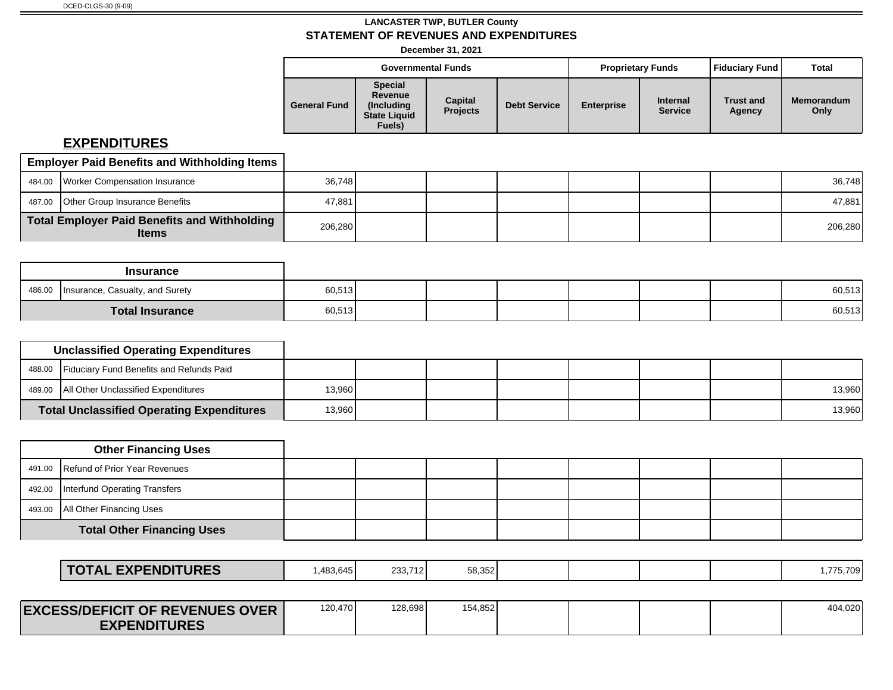**December 31, 2021**

|                     |                                                                          | <b>Governmental Funds</b>  |                     |                   | <b>Proprietary Funds</b>          | <b>Fiduciary Fund</b>      | Total                     |
|---------------------|--------------------------------------------------------------------------|----------------------------|---------------------|-------------------|-----------------------------------|----------------------------|---------------------------|
| <b>General Fund</b> | <b>Special</b><br>Revenue<br>(Including<br><b>State Liquid</b><br>Fuels) | Capital<br><b>Projects</b> | <b>Debt Service</b> | <b>Enterprise</b> | <b>Internal</b><br><b>Service</b> | <b>Trust and</b><br>Agency | <b>Memorandum</b><br>Only |

| <b>Employer Paid Benefits and Withholding Items</b>          |         |  |  |  |         |
|--------------------------------------------------------------|---------|--|--|--|---------|
| 484.00 Worker Compensation Insurance                         | 36.748  |  |  |  | 36,748  |
| 487.00 Other Group Insurance Benefits                        | 47,881  |  |  |  | 47,881  |
| Total Employer Paid Benefits and Withholding<br><b>Items</b> | 206.280 |  |  |  | 206,280 |

|        | <b>Insurance</b>                |        |  |  |  |        |
|--------|---------------------------------|--------|--|--|--|--------|
| 486.00 | Insurance, Casualty, and Surety | 60,513 |  |  |  | 60,513 |
|        | <b>Total Insurance</b>          | 60,513 |  |  |  | 60,513 |

| <b>Unclassified Operating Expenditures</b>       |        |  |  |  |        |
|--------------------------------------------------|--------|--|--|--|--------|
| 488.00 Fiduciary Fund Benefits and Refunds Paid  |        |  |  |  |        |
| 489.00   All Other Unclassified Expenditures     | 13,960 |  |  |  | 13,960 |
| <b>Total Unclassified Operating Expenditures</b> | 13,960 |  |  |  | 13,960 |

| <b>Other Financing Uses</b>            |  |  |  |  |
|----------------------------------------|--|--|--|--|
| 491.00 Refund of Prior Year Revenues   |  |  |  |  |
| 492.00   Interfund Operating Transfers |  |  |  |  |
| 493.00   All Other Financing Uses      |  |  |  |  |
| <b>Total Other Financing Uses</b>      |  |  |  |  |

| <b>EXPENDITURES</b><br><b>TAL</b><br>$\cdot$ $\cdot$ | .483.645 | 233.712 | 58,352 |  |  | 775,709 |
|------------------------------------------------------|----------|---------|--------|--|--|---------|
|                                                      |          |         |        |  |  |         |

| <b>EXCE</b><br><b>ESS/DEFICIT OF REVENUES OVER</b> | 120,470 | 128,698 | 154,852 |  |  | 404,020 |
|----------------------------------------------------|---------|---------|---------|--|--|---------|
| <b>TURES</b>                                       |         |         |         |  |  |         |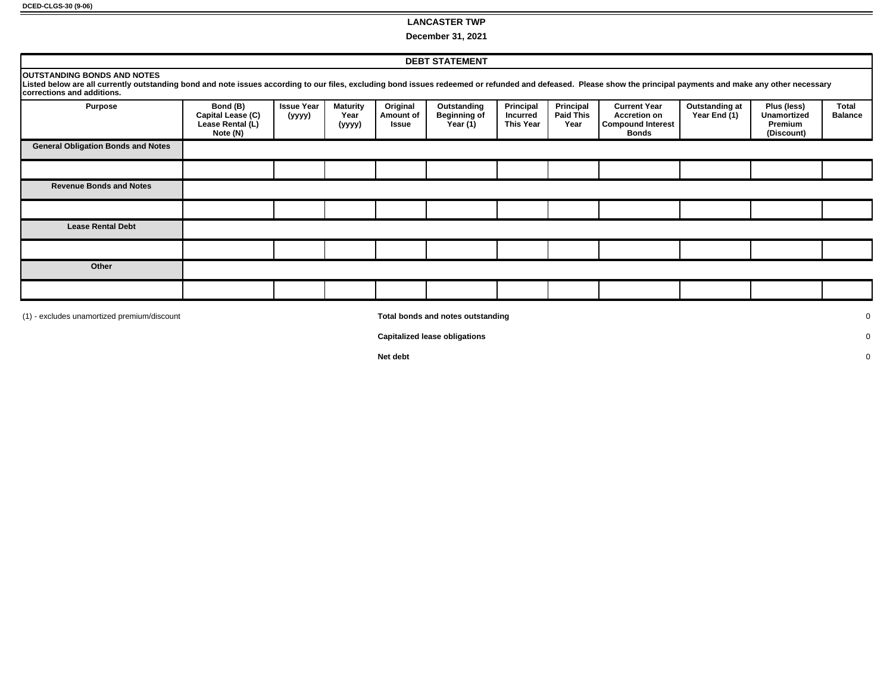#### **LANCASTER TWP**

**December 31, 2021**

|                                                                                                                                                                                                                                                                                      |                                                               |                             |                                   |                                | <b>DEBT STATEMENT</b>                          |                                                  |                                       |                                                                                        |                                |                                                     |                         |
|--------------------------------------------------------------------------------------------------------------------------------------------------------------------------------------------------------------------------------------------------------------------------------------|---------------------------------------------------------------|-----------------------------|-----------------------------------|--------------------------------|------------------------------------------------|--------------------------------------------------|---------------------------------------|----------------------------------------------------------------------------------------|--------------------------------|-----------------------------------------------------|-------------------------|
| <b>OUTSTANDING BONDS AND NOTES</b><br>Listed below are all currently outstanding bond and note issues according to our files, excluding bond issues redeemed or refunded and defeased. Please show the principal payments and make any other necessary<br>corrections and additions. |                                                               |                             |                                   |                                |                                                |                                                  |                                       |                                                                                        |                                |                                                     |                         |
| <b>Purpose</b>                                                                                                                                                                                                                                                                       | Bond (B)<br>Capital Lease (C)<br>Lease Rental (L)<br>Note (N) | <b>Issue Year</b><br>(yyyy) | <b>Maturity</b><br>Year<br>(yyyy) | Original<br>Amount of<br>Issue | Outstanding<br><b>Beginning of</b><br>Year (1) | Principal<br><b>Incurred</b><br><b>This Year</b> | Principal<br><b>Paid This</b><br>Year | <b>Current Year</b><br><b>Accretion on</b><br><b>Compound Interest</b><br><b>Bonds</b> | Outstanding at<br>Year End (1) | Plus (less)<br>Unamortized<br>Premium<br>(Discount) | Total<br><b>Balance</b> |
| <b>General Obligation Bonds and Notes</b>                                                                                                                                                                                                                                            |                                                               |                             |                                   |                                |                                                |                                                  |                                       |                                                                                        |                                |                                                     |                         |
|                                                                                                                                                                                                                                                                                      |                                                               |                             |                                   |                                |                                                |                                                  |                                       |                                                                                        |                                |                                                     |                         |
| <b>Revenue Bonds and Notes</b>                                                                                                                                                                                                                                                       |                                                               |                             |                                   |                                |                                                |                                                  |                                       |                                                                                        |                                |                                                     |                         |
|                                                                                                                                                                                                                                                                                      |                                                               |                             |                                   |                                |                                                |                                                  |                                       |                                                                                        |                                |                                                     |                         |
| <b>Lease Rental Debt</b>                                                                                                                                                                                                                                                             |                                                               |                             |                                   |                                |                                                |                                                  |                                       |                                                                                        |                                |                                                     |                         |
|                                                                                                                                                                                                                                                                                      |                                                               |                             |                                   |                                |                                                |                                                  |                                       |                                                                                        |                                |                                                     |                         |
| Other                                                                                                                                                                                                                                                                                |                                                               |                             |                                   |                                |                                                |                                                  |                                       |                                                                                        |                                |                                                     |                         |
|                                                                                                                                                                                                                                                                                      |                                                               |                             |                                   |                                |                                                |                                                  |                                       |                                                                                        |                                |                                                     |                         |
| (1) - excludes unamortized premium/discount                                                                                                                                                                                                                                          |                                                               |                             |                                   |                                | Total bonds and notes outstanding              |                                                  |                                       |                                                                                        |                                |                                                     | 0                       |

**Capitalized lease obligations** 0

**Net debt** 0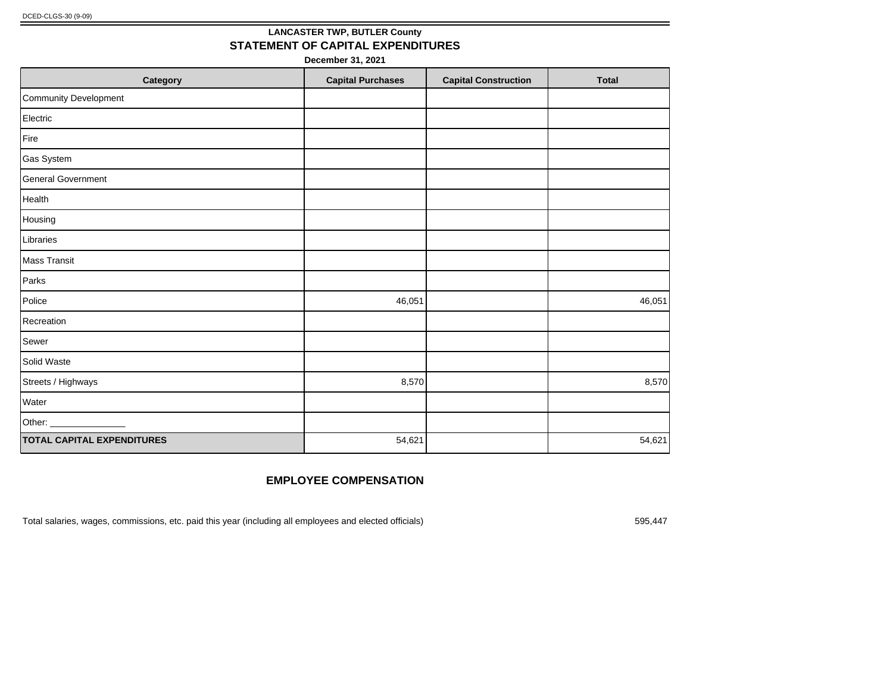# **LANCASTER TWP, BUTLER County STATEMENT OF CAPITAL EXPENDITURES**

**December 31, 2021**

| Category                          | <b>Capital Purchases</b> | <b>Capital Construction</b> | <b>Total</b> |
|-----------------------------------|--------------------------|-----------------------------|--------------|
| Community Development             |                          |                             |              |
| Electric                          |                          |                             |              |
| Fire                              |                          |                             |              |
| Gas System                        |                          |                             |              |
| General Government                |                          |                             |              |
| Health                            |                          |                             |              |
| Housing                           |                          |                             |              |
| Libraries                         |                          |                             |              |
| Mass Transit                      |                          |                             |              |
| Parks                             |                          |                             |              |
| Police                            | 46,051                   |                             | 46,051       |
| Recreation                        |                          |                             |              |
| Sewer                             |                          |                             |              |
| Solid Waste                       |                          |                             |              |
| Streets / Highways                | 8,570                    |                             | 8,570        |
| Water                             |                          |                             |              |
| Other: _                          |                          |                             |              |
| <b>TOTAL CAPITAL EXPENDITURES</b> | 54,621                   |                             | 54,621       |

# **EMPLOYEE COMPENSATION**

Total salaries, wages, commissions, etc. paid this year (including all employees and elected officials) 595,447